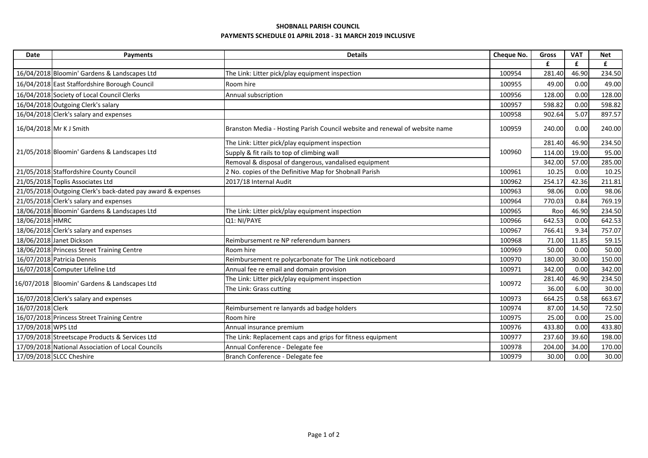## SHOBNALL PARISH COUNCIL PAYMENTS SCHEDULE 01 APRIL 2018 - 31 MARCH 2019 INCLUSIVE

| Date               | Payments                                                    | <b>Details</b>                                                              | Cheque No. | <b>Gross</b> | <b>VAT</b> | <b>Net</b> |
|--------------------|-------------------------------------------------------------|-----------------------------------------------------------------------------|------------|--------------|------------|------------|
|                    |                                                             |                                                                             |            | £            | £          | £          |
|                    | 16/04/2018 Bloomin' Gardens & Landscapes Ltd                | The Link: Litter pick/play equipment inspection                             | 100954     | 281.40       | 46.90      | 234.50     |
|                    | 16/04/2018 East Staffordshire Borough Council               | Room hire                                                                   | 100955     | 49.00        | 0.00       | 49.00      |
|                    | 16/04/2018 Society of Local Council Clerks                  | Annual subscription                                                         | 100956     | 128.00       | 0.00       | 128.00     |
|                    | 16/04/2018 Outgoing Clerk's salary                          |                                                                             | 100957     | 598.82       | 0.00       | 598.82     |
|                    | 16/04/2018 Clerk's salary and expenses                      |                                                                             | 100958     | 902.64       | 5.07       | 897.57     |
|                    | 16/04/2018 Mr K J Smith                                     | Branston Media - Hosting Parish Council website and renewal of website name | 100959     | 240.00       | 0.00       | 240.00     |
|                    | 21/05/2018 Bloomin' Gardens & Landscapes Ltd                | The Link: Litter pick/play equipment inspection                             |            | 281.40       | 46.90      | 234.50     |
|                    |                                                             | Supply & fit rails to top of climbing wall                                  | 100960     | 114.00       | 19.00      | 95.00      |
|                    |                                                             | Removal & disposal of dangerous, vandalised equipment                       |            | 342.00       | 57.00      | 285.00     |
|                    | 21/05/2018 Staffordshire County Council                     | 2 No. copies of the Definitive Map for Shobnall Parish                      | 100961     | 10.25        | 0.00       | 10.25      |
|                    | 21/05/2018 Toplis Associates Ltd                            | 2017/18 Internal Audit                                                      | 100962     | 254.17       | 42.36      | 211.81     |
|                    | 21/05/2018 Outgoing Clerk's back-dated pay award & expenses |                                                                             | 100963     | 98.06        | 0.00       | 98.06      |
|                    | 21/05/2018 Clerk's salary and expenses                      |                                                                             | 100964     | 770.03       | 0.84       | 769.19     |
|                    | 18/06/2018 Bloomin' Gardens & Landscapes Ltd                | The Link: Litter pick/play equipment inspection                             | 100965     | Roo          | 46.90      | 234.50     |
| 18/06/2018 HMRC    |                                                             | Q1: NI/PAYE                                                                 | 100966     | 642.53       | 0.00       | 642.53     |
|                    | 18/06/2018 Clerk's salary and expenses                      |                                                                             | 100967     | 766.41       | 9.34       | 757.07     |
|                    | 18/06/2018 Janet Dickson                                    | Reimbursement re NP referendum banners                                      | 100968     | 71.00        | 11.85      | 59.15      |
|                    | 18/06/2018 Princess Street Training Centre                  | Room hire                                                                   | 100969     | 50.00        | 0.00       | 50.00      |
|                    | 16/07/2018 Patricia Dennis                                  | Reimbursement re polycarbonate for The Link noticeboard                     | 100970     | 180.00       | 30.00      | 150.00     |
|                    | 16/07/2018 Computer Lifeline Ltd                            | Annual fee re email and domain provision                                    | 100971     | 342.00       | 0.00       | 342.00     |
|                    | 16/07/2018 Bloomin' Gardens & Landscapes Ltd                | The Link: Litter pick/play equipment inspection                             | 100972     | 281.40       | 46.90      | 234.50     |
|                    |                                                             | The Link: Grass cutting                                                     |            | 36.00        | 6.00       | 30.00      |
|                    | 16/07/2018 Clerk's salary and expenses                      |                                                                             | 100973     | 664.25       | 0.58       | 663.67     |
| 16/07/2018 Clerk   |                                                             | Reimbursement re lanyards ad badge holders                                  | 100974     | 87.00        | 14.50      | 72.50      |
|                    | 16/07/2018 Princess Street Training Centre                  | Room hire                                                                   | 100975     | 25.00        | 0.00       | 25.00      |
| 17/09/2018 WPS Ltd |                                                             | Annual insurance premium                                                    | 100976     | 433.80       | 0.00       | 433.80     |
|                    | 17/09/2018 Streetscape Products & Services Ltd              | The Link: Replacement caps and grips for fitness equipment                  | 100977     | 237.60       | 39.60      | 198.00     |
|                    | 17/09/2018 National Association of Local Councils           | Annual Conference - Delegate fee                                            | 100978     | 204.00       | 34.00      | 170.00     |
|                    | 17/09/2018 SLCC Cheshire                                    | Branch Conference - Delegate fee                                            | 100979     | 30.00        | 0.00       | 30.00      |